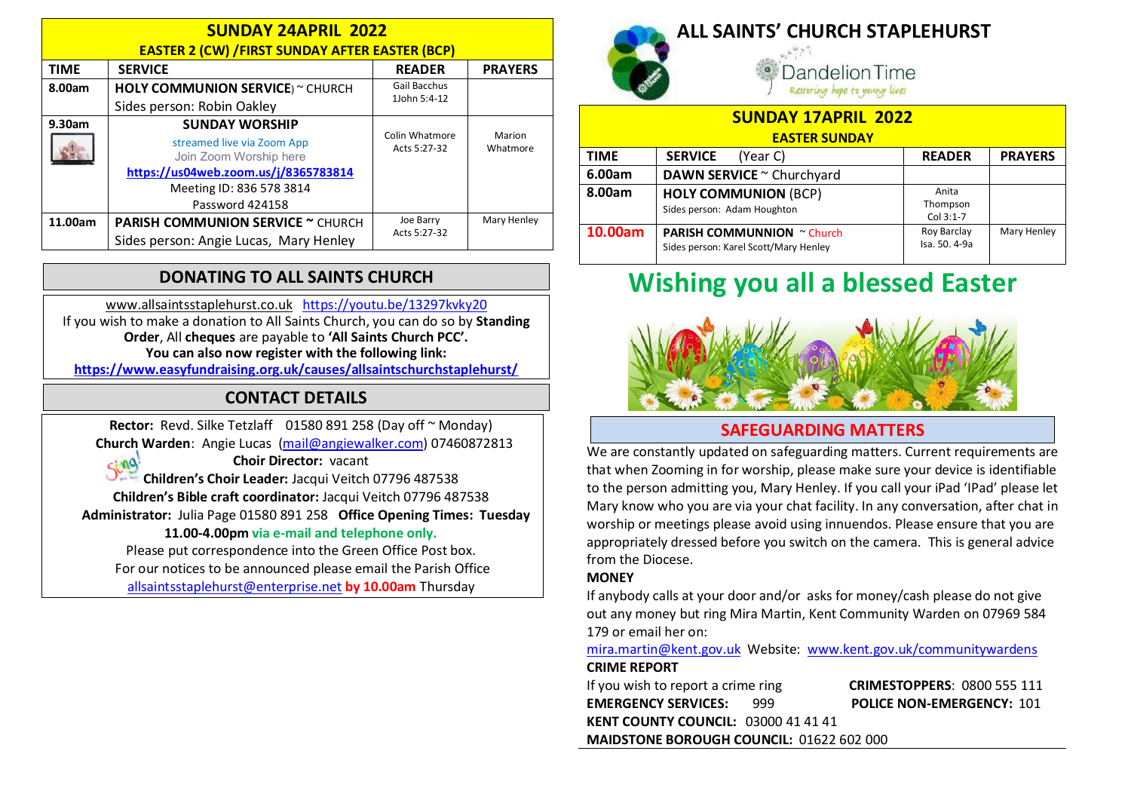| <b>SUNDAY 24APRIL 2022</b><br><b>EASTER 2 (CW) / FIRST SUNDAY AFTER EASTER (BCP)</b> |                                                      |                                |                    |  |
|--------------------------------------------------------------------------------------|------------------------------------------------------|--------------------------------|--------------------|--|
| <b>TIME</b>                                                                          | <b>SERVICE</b>                                       | <b>READER</b>                  | <b>PRAYERS</b>     |  |
| 8.00am                                                                               | <b>HOLY COMMUNION SERVICE</b> ) ~ CHURCH             | Gail Bacchus<br>1John 5:4-12   |                    |  |
|                                                                                      | Sides person: Robin Oakley                           |                                |                    |  |
| 9.30am                                                                               | <b>SUNDAY WORSHIP</b>                                |                                |                    |  |
|                                                                                      | streamed live via Zoom App<br>Join Zoom Worship here | Colin Whatmore<br>Acts 5:27-32 | Marion<br>Whatmore |  |
|                                                                                      | https://us04web.zoom.us/j/8365783814                 |                                |                    |  |
|                                                                                      | Meeting ID: 836 578 3814                             |                                |                    |  |
|                                                                                      | Password 424158                                      |                                |                    |  |
| 11.00am                                                                              | <b>PARISH COMMUNION SERVICE ~ CHURCH</b>             | Joe Barry                      | Mary Henley        |  |
|                                                                                      | Sides person: Angie Lucas, Mary Henley               | Acts 5:27-32                   |                    |  |

### DONATING TO ALL SAINTS CHURCH

www.allsaintsstaplehurst.co.uk https://youtu.be/13297kvky20 If you wish to make a donation to All Saints Church, you can do so by Standing Order, All cheques are payable to 'All Saints Church PCC'. You can also now register with the following link: https://www.easyfundraising.org.uk/causes/allsaintschurchstaplehurst/

### CONTACT DETAILS

Rector: Revd. Silke Tetzlaff 01580 891 258 (Day off ~ Monday) Church Warden: Angie Lucas (mail@angiewalker.com) 07460872813

 $sin\theta$ 

Choir Director: vacant Children's Choir Leader: Jacqui Veitch 07796 487538 Children's Bible craft coordinator: Jacqui Veitch 07796 487538 Administrator: Julia Page 01580 891 258 Office Opening Times: Tuesday 11.00-4.00pm via e-mail and telephone only. Please put correspondence into the Green Office Post box.

For our notices to be announced please email the Parish Office allsaintsstaplehurst@enterprise.net by 10.00am Thursday



## ALL SAINTS' CHURCH STAPLEHURST

andelion Time Restoring hope to young lives

| <b>SUNDAY 17APRIL 2022</b> |                                                                            |                                |                |
|----------------------------|----------------------------------------------------------------------------|--------------------------------|----------------|
| <b>EASTER SUNDAY</b>       |                                                                            |                                |                |
| <b>TIME</b>                | <b>SERVICE</b><br>(Year C)                                                 | <b>READER</b>                  | <b>PRAYERS</b> |
| 6.00am                     | DAWN SERVICE ~ Churchyard                                                  |                                |                |
| 8.00am                     | <b>HOLY COMMUNION (BCP)</b><br>Sides person: Adam Houghton                 | Anita<br>Thompson<br>Col 3:1-7 |                |
| 10.00am                    | <b>PARISH COMMUNNION</b> ~ Church<br>Sides person: Karel Scott/Mary Henley | Roy Barclay<br>Isa. 50. 4-9a   | Mary Henley    |

# Wishing you all a blessed Easter



### SAFEGUARDING MATTERS

We are constantly updated on safeguarding matters. Current requirements are that when Zooming in for worship, please make sure your device is identifiable to the person admitting you, Mary Henley. If you call your iPad 'IPad' please let Mary know who you are via your chat facility. In any conversation, after chat in worship or meetings please avoid using innuendos. Please ensure that you are appropriately dressed before you switch on the camera. This is general advice from the Diocese.

#### **MONEY**

If anybody calls at your door and/or asks for money/cash please do not give out any money but ring Mira Martin, Kent Community Warden on 07969 584 179 or email her on:

mira.martin@kent.gov.uk Website: www.kent.gov.uk/communitywardens CRIME REPORT

If you wish to report a crime ring **CRIMESTOPPERS:** 0800 555 111 EMERGENCY SERVICES: 999 POLICE NON-EMERGENCY: 101 KENT COUNTY COUNCIL: 03000 41 41 41 MAIDSTONE BOROUGH COUNCIL: 01622 602 000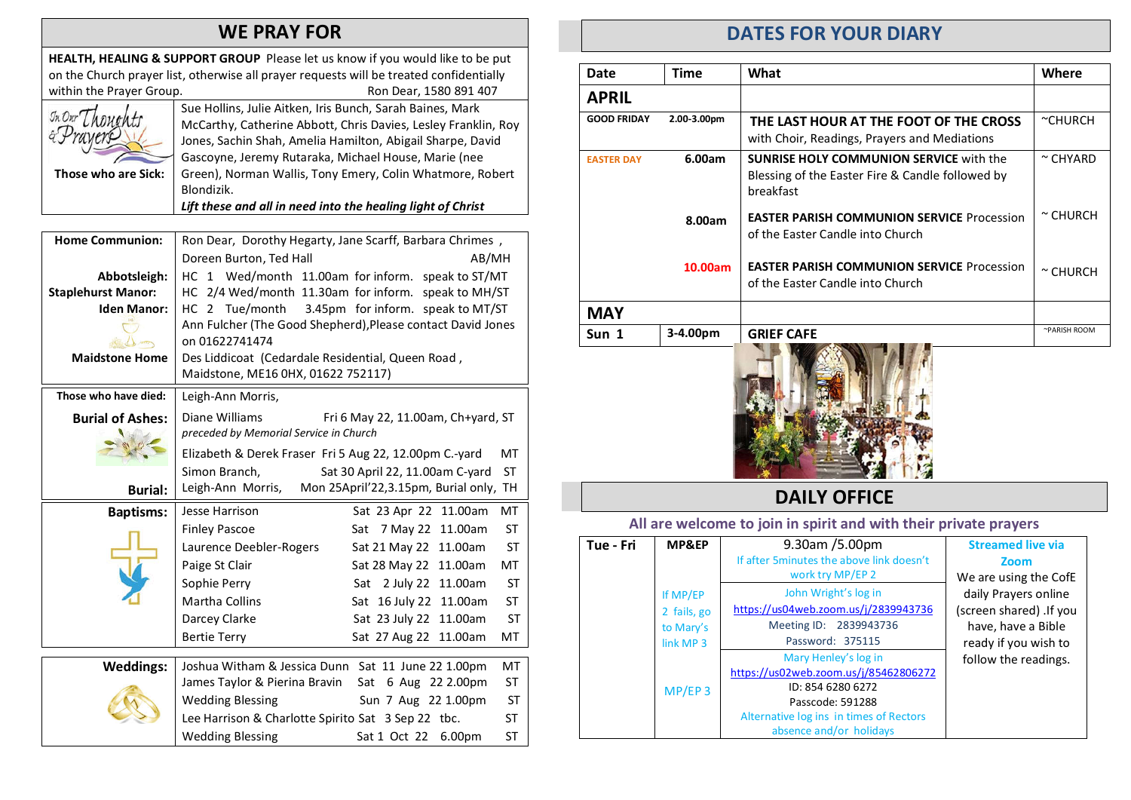### WE PRAY FOR

HEALTH, HEALING & SUPPORT GROUP Please let us know if you would like to be put on the Church prayer list, otherwise all prayer requests will be treated confidentially within the Prayer Group. The Common School and Ron Dear, 1580 891 407 Sue Hollins, Julie Aitken, Iris Bunch, Sarah Baines, Mark McCarthy, Catherine Abbott, Chris Davies, Lesley Franklin, Roy Jones, Sachin Shah, Amelia Hamilton, Abigail Sharpe, David Gascoyne, Jeremy Rutaraka, Michael House, Marie (nee Those who are Sick: Green), Norman Wallis, Tony Emery, Colin Whatmore, Robert Blondizik. Lift these and all in need into the healing light of Christ Home Communion: Ron Dear, Dorothy Hegarty, Jane Scarff, Barbara Chrimes , Doreen Burton, Ted Hall AB/MH Abbotsleigh: HC 1 Wed/month 11.00am for inform. speak to ST/MT Staplehurst Manor: HC 2/4 Wed/month 11.30am for inform. speak to MH/ST **Iden Manor:** | HC 2 Tue/month 3.45pm for inform. speak to MT/ST Ann Fulcher (The Good Shepherd),Please contact David Jones on 01622741474 dm Maidstone Home  $\parallel$  Des Liddicoat (Cedardale Residential, Queen Road , Maidstone, ME16 0HX, 01622 752117) Those who have died: | Leigh-Ann Morris, Burial of Ashes: Diane Williams Fri 6 May 22, 11.00am, Ch+yard, ST preceded by Memorial Service in Church Elizabeth & Derek Fraser Fri 5 Aug 22, 12.00pm C.-yard MT Simon Branch, Sat 30 April 22, 11.00am C-yard ST Leigh-Ann Morris, Mon 25April'22,3.15pm, Burial only, TH Burial: Baptisms: Jesse Harrison Sat 23 Apr 22 11.00am MT Finley Pascoe Sat 7 May 22 11.00am ST Laurence Deebler-Rogers Sat 21 May 22 11.00am ST Paige St Clair Sat 28 May 22 11.00am MT Sophie Perry Sat 2 July 22 11.00am ST Martha Collins Sat 16 July 22 11.00am ST Darcey Clarke Sat 23 July 22 11.00am ST Bertie Terry Sat 27 Aug 22 11.00am MT Weddings: Joshua Witham & Jessica Dunn Sat 11 June 22 1.00pm MT James Taylor & Pierina Bravin Sat 6 Aug 22 2.00pm ST Wedding Blessing Sun 7 Aug 22 1.00pm ST Lee Harrison & Charlotte Spirito Sat 3 Sep 22 tbc. ST Wedding Blessing Sat 1 Oct 22 6.00pm ST

### DATES FOR YOUR DIARY

| Date               | Time        | What                                                                                                            | Where         |
|--------------------|-------------|-----------------------------------------------------------------------------------------------------------------|---------------|
| <b>APRIL</b>       |             |                                                                                                                 |               |
| <b>GOOD FRIDAY</b> | 2.00-3.00pm | THE LAST HOUR AT THE FOOT OF THE CROSS<br>with Choir, Readings, Prayers and Mediations                          | $c$ CHURCH    |
| <b>FASTER DAY</b>  | 6.00am      | <b>SUNRISE HOLY COMMUNION SERVICE with the</b><br>Blessing of the Easter Fire & Candle followed by<br>breakfast | $\sim$ CHYARD |
|                    | 8.00am      | <b>EASTER PARISH COMMUNION SERVICE Procession</b><br>of the Easter Candle into Church                           | $\sim$ CHURCH |
|                    | 10.00am     | <b>EASTER PARISH COMMUNION SERVICE Procession</b><br>of the Easter Candle into Church                           | $\sim$ CHURCH |
| <b>MAY</b>         |             |                                                                                                                 |               |
| Sun 1              | 3-4.00pm    | <b>GRIEF CAFE</b>                                                                                               | ~PARISH ROOM  |
|                    |             |                                                                                                                 |               |



### DAILY OFFICE

#### All are welcome to join in spirit and with their private prayers

| Tue - Fri | MP&EP                                                        | 9.30am / 5.00pm<br>If after 5 minutes the above link doesn't<br>work try MP/EP 2                                                                                             | <b>Streamed live via</b><br>Zoom<br>We are using the CofE                                     |
|-----------|--------------------------------------------------------------|------------------------------------------------------------------------------------------------------------------------------------------------------------------------------|-----------------------------------------------------------------------------------------------|
|           | If MP/EP<br>2 fails, go<br>to Mary's<br>link MP <sub>3</sub> | John Wright's log in<br>https://us04web.zoom.us/j/2839943736<br>Meeting ID: 2839943736<br>Password: 375115                                                                   | daily Prayers online<br>(screen shared) .If you<br>have, have a Bible<br>ready if you wish to |
|           | $MP/EP$ 3                                                    | Mary Henley's log in<br>https://us02web.zoom.us/j/85462806272<br>ID: 854 6280 6272<br>Passcode: 591288<br>Alternative log ins in times of Rectors<br>absence and/or holidays | follow the readings.                                                                          |